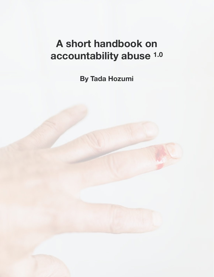# **A short handbook on accountability abuse 1.0**

**By Tada Hozumi**

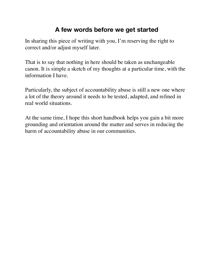### **A few words before we get started**

In sharing this piece of writing with you, I'm reserving the right to correct and/or adjust myself later.

That is to say that nothing in here should be taken as unchangeable canon. It is simple a sketch of my thoughts at a particular time, with the information I have.

Particularly, the subject of accountability abuse is still a new one where a lot of the theory around it needs to be tested, adapted, and refined in real world situations.

At the same time, I hope this short handbook helps you gain a bit more grounding and orientation around the matter and serves in reducing the harm of accountability abuse in our communities.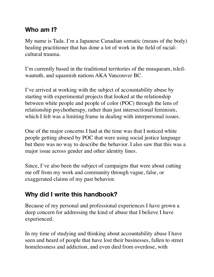### **Who am I?**

My name is Tada. I'm a Japanese Canadian somatic (means of the body) healing practitioner that has done a lot of work in the field of racialcultural trauma.

I'm currently based in the traditional territories of the musqueam, tsleilwaututh, and squamish nations AKA Vancouver BC.

I've arrived at working with the subject of accountability abuse by starting with experimental projects that looked at the relationship between white people and people of color (POC) through the lens of relationship psychotherapy, rather than just intersectional feminism, which I felt was a limiting frame in dealing with interpersonal issues.

One of the major concerns I had at the time was that I noticed white people getting abused by POC that were using social justice language but there was no way to describe the behavior. I also saw that this was a major issue across gender and other identity lines.

Since, I've also been the subject of campaigns that were about cutting me off from my work and community through vague, false, or exaggerated claims of my past behavior.

# **Why did I write this handbook?**

Because of my personal and professional experiences I have grown a deep concern for addressing the kind of abuse that I believe I have experienced.

In my time of studying and thinking about accountability abuse I have seen and heard of people that have lost their businesses, fallen to street homelessness and addiction, and even died from overdose, with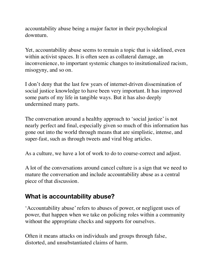accountability abuse being a major factor in their psychological downturn.

Yet, accountability abuse seems to remain a topic that is sidelined, even within activist spaces. It is often seen as collateral damage, an inconvenience, to important systemic changes to insitutionalized racism, misogyny, and so on.

I don't deny that the last few years of internet-driven dissemination of social justice knowledge to have been very important. It has improved some parts of my life in tangible ways. But it has also deeply undermined many parts.

The conversation around a healthy approach to 'social justice' is not nearly perfect and final, especially given so much of this information has gone out into the world through means that are simplistic, intense, and super-fast, such as through tweets and viral blog articles.

As a culture, we have a lot of work to do to course-correct and adjust.

A lot of the conversations around cancel culture is a sign that we need to mature the conversation and include accountability abuse as a central piece of that discussion.

# **What is accountability abuse?**

'Accountability abuse' refers to abuses of power, or negligent uses of power, that happen when we take on policing roles within a community without the appropriate checks and supports for ourselves.

Often it means attacks on individuals and groups through false, distorted, and unsubstantiated claims of harm.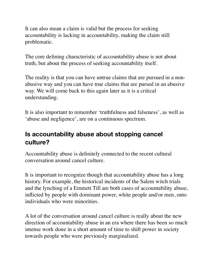It can also mean a claim is valid but the process for seeking accountability is lacking in accountability, making the claim still problematic.

The core defining characteristic of accountability abuse is not about truth, but about the process of seeking accountability itself.

The reality is that you can have untrue claims that are pursued in a nonabusive way and you can have true claims that are pursed in an abusive way. We will come back to this again later as it is a critical understanding.

It is also important to remember 'truthfulness and falseness', as well as 'abuse and negligence', are on a continuous spectrum.

# **Is accountability abuse about stopping cancel culture?**

Accountability abuse is definitely connected to the recent cultural conversation around cancel culture.

It is important to recognize though that accountability abuse has a long history. For example, the historical incidents of the Salem witch trials and the lynching of a Emmett Till are both cases of accountability abuse, inflicted by people with dominant power, white people and/or men, onto individuals who were minorities.

A lot of the conversation around cancel culture is really about the new direction of accountability abuse in an era where there has been so much intense work done in a short amount of time to shift power in society towards people who were previously marginalized.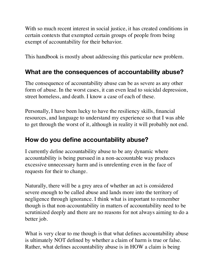With so much recent interest in social justice, it has created conditions in certain contexts that exempted certain groups of people from being exempt of accountability for their behavior.

This handbook is mostly about addressing this particular new problem.

### **What are the consequences of accountability abuse?**

The consequence of accountability abuse can be as severe as any other form of abuse. In the worst cases, it can even lead to suicidal depression, street homeless, and death. I know a case of each of these.

Personally, I have been lucky to have the resiliency skills, financial resources, and language to understand my experience so that I was able to get through the worst of it, although in reality it will probably not end.

# **How do you define accountability abuse?**

I currently define accountability abuse to be any dynamic where accountability is being pursued in a non-accountable way produces excessive unnecessary harm and is unrelenting even in the face of requests for their to change.

Naturally, there will be a grey area of whether an act is considered severe enough to be called abuse and lands more into the territory of negligence through ignorance. I think what is important to remember though is that non-accountability in matters of accountability need to be scrutinized deeply and there are no reasons for not always aiming to do a better job.

What is very clear to me though is that what defines accountability abuse is ultimately NOT defined by whether a claim of harm is true or false. Rather, what defines accountability abuse is in HOW a claim is being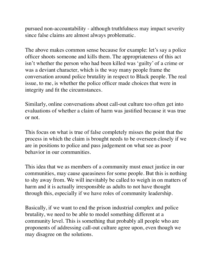pursued non-accountability - although truthfulness may impact severity since false claims are almost always problematic.

The above makes common sense because for example: let's say a police officer shoots someone and kills them. The appropriateness of this act isn't whether the person who had been killed was 'guilty' of a crime or was a deviant character, which is the way many people frame the conversation around police brutality in respect to Black people. The real issue, to me, is whether the police officer made choices that were in integrity and fit the circumstances.

Similarly, online conversations about call-out culture too often get into evaluations of whether a claim of harm was justified because it was true or not.

This focus on what is true of false completely misses the point that the process in which the claim is brought needs to be overseen closely if we are in positions to police and pass judgement on what see as poor behavior in our communities.

This idea that we as members of a community must enact justice in our communities, may cause queasiness for some people. But this is nothing to shy away from. We will inevitably be called to weigh in on matters of harm and it is actually irresponsible as adults to not have thought through this, especially if we have roles of community leadership.

Basically, if we want to end the prison industrial complex and police brutality, we need to be able to model something different at a community level. This is something that probably all people who are proponents of addressing call-out culture agree upon, even though we may disagree on the solutions.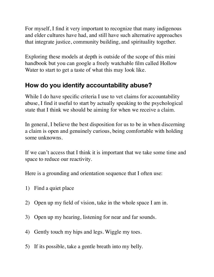For myself, I find it very important to recognize that many indigenous and elder cultures have had, and still have such alternative approaches that integrate justice, community building, and spirituality together.

Exploring these models at depth is outside of the scope of this mini handbook but you can google a freely watchable film called Hollow Water to start to get a taste of what this may look like.

# **How do you identify accountability abuse?**

While I do have specific criteria I use to vet claims for accountability abuse, I find it useful to start by actually speaking to the psychological state that I think we should be aiming for when we receive a claim.

In general, I believe the best disposition for us to be in when discerning a claim is open and genuinely curious, being comfortable with holding some unknowns.

If we can't access that I think it is important that we take some time and space to reduce our reactivity.

Here is a grounding and orientation sequence that I often use:

- 1) Find a quiet place
- 2) Open up my field of vision, take in the whole space I am in.
- 3) Open up my hearing, listening for near and far sounds.
- 4) Gently touch my hips and legs. Wiggle my toes.
- 5) If its possible, take a gentle breath into my belly.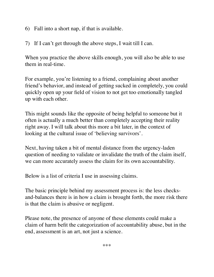- 6) Fall into a short nap, if that is available.
- 7) If I can't get through the above steps, I wait till I can.

When you practice the above skills enough, you will also be able to use them in real-time.

For example, you're listening to a friend, complaining about another friend's behavior, and instead of getting sucked in completely, you could quickly open up your field of vision to not get too emotionally tangled up with each other.

This might sounds like the opposite of being helpful to someone but it often is actually a much better than completely accepting their reality right away. I will talk about this more a bit later, in the context of looking at the cultural issue of 'believing survivors'.

Next, having taken a bit of mental distance from the urgency-laden question of needing to validate or invalidate the truth of the claim itself, we can more accurately assess the claim for its own accountability.

Below is a list of criteria I use in assessing claims.

The basic principle behind my assessment process is: the less checksand-balances there is in how a claim is brought forth, the more risk there is that the claim is abusive or negligent.

Please note, the presence of anyone of these elements could make a claim of harm befit the categorization of accountability abuse, but in the end, assessment is an art, not just a science.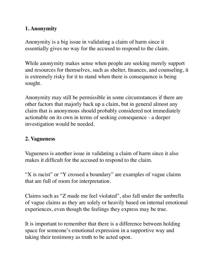#### **1. Anonymity**

Anonymity is a big issue in validating a claim of harm since it essentially gives no way for the accused to respond to the claim.

While anonymity makes sense when people are seeking merely support and resources for themselves, such as shelter, finances, and counseling, it is extremely risky for it to stand when there is consequence is being sought.

Anonymity may still be permissible in some circumstances if there are other factors that majorly back up a claim, but in general almost any claim that is anonymous should probably considered not immediately actionable on its own in terms of seeking consequence - a deeper investigation would be needed.

#### **2. Vagueness**

Vagueness is another issue in validating a claim of harm since it also makes it difficult for the accused to respond to the claim.

"X is racist" or "Y crossed a boundary" are examples of vague claims that are full of room for interpretation.

Claims such as "Z made me feel violated", also fall under the umbrella of vague claims as they are solely or heavily based on internal emotional experiences, even though the feelings they express may be true.

It is important to remember that there is a difference between holding space for someone's emotional expression in a supportive way and taking their testimony as truth to be acted upon.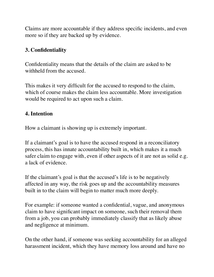Claims are more accountable if they address specific incidents, and even more so if they are backed up by evidence.

#### **3. Confidentiality**

Confidentiality means that the details of the claim are asked to be withheld from the accused.

This makes it very difficult for the accused to respond to the claim, which of course makes the claim less accountable. More investigation would be required to act upon such a claim.

#### **4. Intention**

How a claimant is showing up is extremely important.

If a claimant's goal is to have the accused respond in a reconciliatory process, this has innate accountability built in, which makes it a much safer claim to engage with, even if other aspects of it are not as solid e.g. a lack of evidence.

If the claimant's goal is that the accused's life is to be negatively affected in any way, the risk goes up and the accountability measures built in to the claim will begin to matter much more deeply.

For example: if someone wanted a confidential, vague, and anonymous claim to have significant impact on someone, such their removal them from a job, you can probably immediately classify that as likely abuse and negligence at minimum.

On the other hand, if someone was seeking accountability for an alleged harassment incident, which they have memory loss around and have no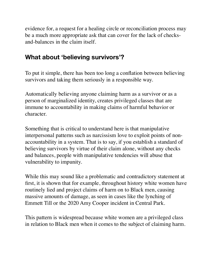evidence for, a request for a healing circle or reconciliation process may be a much more appropriate ask that can cover for the lack of checksand-balances in the claim itself.

### **What about 'believing survivors'?**

To put it simple, there has been too long a conflation between believing survivors and taking them seriously in a responsible way.

Automatically believing anyone claiming harm as a survivor or as a person of marginalized identity, creates privileged classes that are immune to accountability in making claims of harmful behavior or character.

Something that is critical to understand here is that manipulative interpersonal patterns such as narcissism love to exploit points of nonaccountability in a system. That is to say, if you establish a standard of believing survivors by virtue of their claim alone, without any checks and balances, people with manipulative tendencies will abuse that vulnerability to impunity.

While this may sound like a problematic and contradictory statement at first, it is shown that for example, throughout history white women have routinely lied and project claims of harm on to Black men, causing massive amounts of damage, as seen in cases like the lynching of Emmett Till or the 2020 Amy Cooper incident in Central Park.

This pattern is widespread because white women are a privileged class in relation to Black men when it comes to the subject of claiming harm.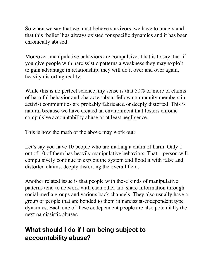So when we say that we must believe survivors, we have to understand that this 'belief' has always existed for specific dynamics and it has been chronically abused.

Moreover, manipulative behaviors are compulsive. That is to say that, if you give people with narcissistic patterns a weakness they may exploit to gain advantage in relationship, they will do it over and over again, heavily distorting reality.

While this is no perfect science, my sense is that 50% or more of claims of harmful behavior and character about fellow community members in activist communities are probably fabricated or deeply distorted. This is natural because we have created an environment that fosters chronic compulsive accountability abuse or at least negligence.

This is how the math of the above may work out:

Let's say you have 10 people who are making a claim of harm. Only 1 out of 10 of them has heavily manipulative behaviors. That 1 person will compulsively continue to exploit the system and flood it with false and distorted claims, deeply distorting the overall field.

Another related issue is that people with these kinds of manipulative patterns tend to network with each other and share information through social media groups and various back channels. They also usually have a group of people that are bonded to them in narcissist-codependent type dynamics. Each one of these codependent people are also potentially the next narcissistic abuser.

# **What should I do if I am being subject to accountability abuse?**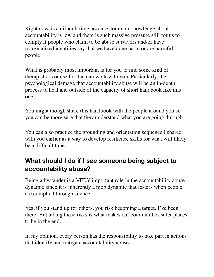Right now, is a difficult time because common knowledge about accountability is low and there is such massive pressure still for us to comply if people who claim to be abuse survivors and/or have marginalized identities say that we have done harm or are harmful people.

What is probably most important is for you to find some kind of therapist or counsellor that can work with you. Particularly, the psychological damage that accountability abuse will be an in-depth process to heal and outside of the capacity of short handbook like this one.

You might though share this handbook with the people around you so you can be more sure that they understand what you are going through.

You can also practice the grounding and orientation sequence I shared with you earlier as a way to develop resilience skills for what will likely be a difficult time.

# **What should I do if I see someone being subject to accountability abuse?**

Being a bystander is a VERY important role in the accountability abuse dynamic since it is inherently a mob dynamic that festers when people are complicit through silence.

Yes, if you stand up for others, you risk becoming a target. I've been there. But taking these risks is what makes our communities safer places to be in the end.

In my opinion, every person has the responsibility to take part in actions that identify and mitigate accountability abuse.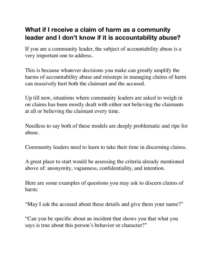# **What if I receive a claim of harm as a community leader and I don't know if it is accountability abuse?**

If you are a community leader, the subject of accountability abuse is a very important one to address.

This is because whatever decisions you make can greatly amplify the harms of accountability abuse and missteps in managing claims of harm can massively hurt both the claimant and the accused.

Up till now, situations where community leaders are asked to weigh in on claims has been mostly dealt with either not believing the claimants at all or believing the claimant every time.

Needless to say both of these models are deeply problematic and ripe for abuse.

Community leaders need to learn to take their time in discerning claims.

A great place to start would be assessing the criteria already mentioned above of: anonymity, vagueness, confidentiality, and intention.

Here are some examples of questions you may ask to discern claims of harm:

"May I ask the accused about these details and give them your name?"

"Can you be specific about an incident that shows you that what you says is true about this person's behavior or character?"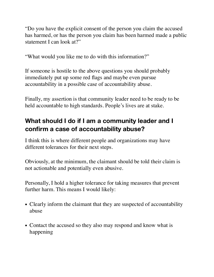"Do you have the explicit consent of the person you claim the accused has harmed, or has the person you claim has been harmed made a public statement I can look at?"

"What would you like me to do with this information?"

If someone is hostile to the above questions you should probably immediately put up some red flags and maybe even pursue accountability in a possible case of accountability abuse.

Finally, my assertion is that community leader need to be ready to be held accountable to high standards. People's lives are at stake.

# **What should I do if I am a community leader and I confirm a case of accountability abuse?**

I think this is where different people and organizations may have different tolerances for their next steps.

Obviously, at the minimum, the claimant should be told their claim is not actionable and potentially even abusive.

Personally, I hold a higher tolerance for taking measures that prevent further harm. This means I would likely:

- Clearly inform the claimant that they are suspected of accountability abuse
- Contact the accused so they also may respond and know what is happening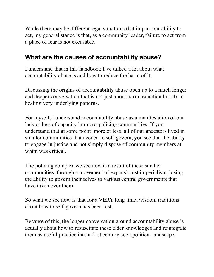While there may be different legal situations that impact our ability to act, my general stance is that, as a community leader, failure to act from a place of fear is not excusable.

### **What are the causes of accountability abuse?**

I understand that in this handbook I've talked a lot about what accountability abuse is and how to reduce the harm of it.

Discussing the origins of accountability abuse open up to a much longer and deeper conversation that is not just about harm reduction but about healing very underlying patterns.

For myself, I understand accountability abuse as a manifestation of our lack or loss of capacity in micro-policing communities. If you understand that at some point, more or less, all of our ancestors lived in smaller communities that needed to self-govern, you see that the ability to engage in justice and not simply dispose of community members at whim was critical.

The policing complex we see now is a result of these smaller communities, through a movement of expansionist imperialism, losing the ability to govern themselves to various central governments that have taken over them.

So what we see now is that for a VERY long time, wisdom traditions about how to self-govern has been lost.

Because of this, the longer conversation around accountability abuse is actually about how to resuscitate these elder knowledges and reintegrate them as useful practice into a 21st century sociopolitical landscape.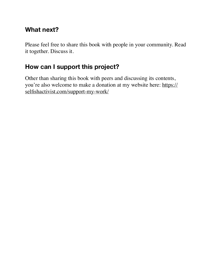### **What next?**

Please feel free to share this book with people in your community. Read it together. Discuss it.

# **How can I support this project?**

Other than sharing this book with peers and discussing its contents, you're also welcome to make a donation at my website here: [https://](https://selfishactivist.com/support-my-work/) [selfishactivist.com/support-my-work/](https://selfishactivist.com/support-my-work/)